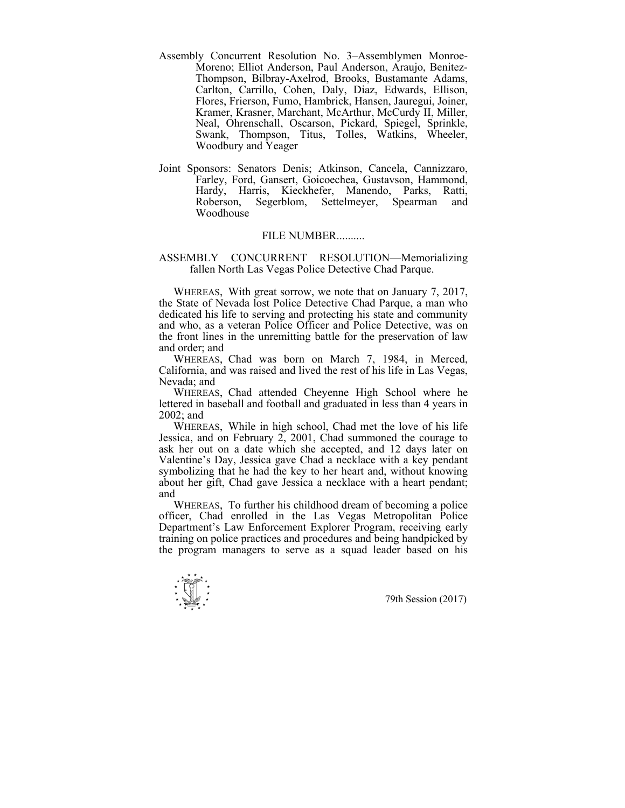- Assembly Concurrent Resolution No. 3–Assemblymen Monroe-Moreno; Elliot Anderson, Paul Anderson, Araujo, Benitez-Thompson, Bilbray-Axelrod, Brooks, Bustamante Adams, Carlton, Carrillo, Cohen, Daly, Diaz, Edwards, Ellison, Flores, Frierson, Fumo, Hambrick, Hansen, Jauregui, Joiner, Kramer, Krasner, Marchant, McArthur, McCurdy II, Miller, Neal, Ohrenschall, Oscarson, Pickard, Spiegel, Sprinkle, Swank, Thompson, Titus, Tolles, Watkins, Wheeler, Woodbury and Yeager
- Joint Sponsors: Senators Denis; Atkinson, Cancela, Cannizzaro, Farley, Ford, Gansert, Goicoechea, Gustavson, Hammond, Hardy, Harris, Kieckhefer, Manendo, Parks, Ratti, Roberson, Segerblom, Settelmeyer, Spearman and Woodhouse

## FILE NUMBER..........

## ASSEMBLY CONCURRENT RESOLUTION—Memorializing fallen North Las Vegas Police Detective Chad Parque.

 WHEREAS, With great sorrow, we note that on January 7, 2017, the State of Nevada lost Police Detective Chad Parque, a man who dedicated his life to serving and protecting his state and community and who, as a veteran Police Officer and Police Detective, was on the front lines in the unremitting battle for the preservation of law and order; and

 WHEREAS, Chad was born on March 7, 1984, in Merced, California, and was raised and lived the rest of his life in Las Vegas, Nevada; and

 WHEREAS, Chad attended Cheyenne High School where he lettered in baseball and football and graduated in less than 4 years in 2002; and

 WHEREAS, While in high school, Chad met the love of his life Jessica, and on February 2, 2001, Chad summoned the courage to ask her out on a date which she accepted, and 12 days later on Valentine's Day, Jessica gave Chad a necklace with a key pendant symbolizing that he had the key to her heart and, without knowing about her gift, Chad gave Jessica a necklace with a heart pendant; and

 WHEREAS, To further his childhood dream of becoming a police officer, Chad enrolled in the Las Vegas Metropolitan Police Department's Law Enforcement Explorer Program, receiving early training on police practices and procedures and being handpicked by the program managers to serve as a squad leader based on his

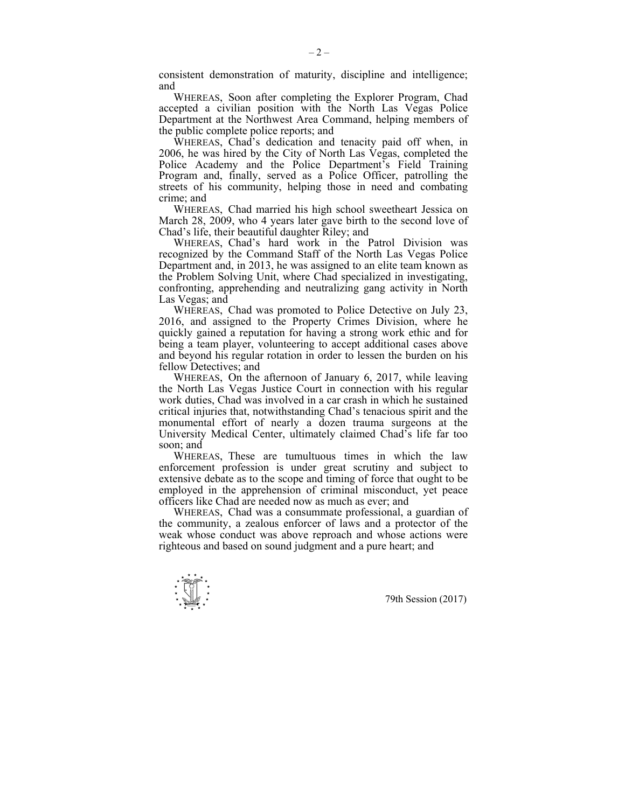consistent demonstration of maturity, discipline and intelligence; and

 WHEREAS, Soon after completing the Explorer Program, Chad accepted a civilian position with the North Las Vegas Police Department at the Northwest Area Command, helping members of the public complete police reports; and

 WHEREAS, Chad's dedication and tenacity paid off when, in 2006, he was hired by the City of North Las Vegas, completed the Police Academy and the Police Department's Field Training Program and, finally, served as a Police Officer, patrolling the streets of his community, helping those in need and combating crime; and

 WHEREAS, Chad married his high school sweetheart Jessica on March 28, 2009, who 4 years later gave birth to the second love of Chad's life, their beautiful daughter Riley; and

 WHEREAS, Chad's hard work in the Patrol Division was recognized by the Command Staff of the North Las Vegas Police Department and, in 2013, he was assigned to an elite team known as the Problem Solving Unit, where Chad specialized in investigating, confronting, apprehending and neutralizing gang activity in North Las Vegas; and

 WHEREAS, Chad was promoted to Police Detective on July 23, 2016, and assigned to the Property Crimes Division, where he quickly gained a reputation for having a strong work ethic and for being a team player, volunteering to accept additional cases above and beyond his regular rotation in order to lessen the burden on his fellow Detectives; and

 WHEREAS, On the afternoon of January 6, 2017, while leaving the North Las Vegas Justice Court in connection with his regular work duties, Chad was involved in a car crash in which he sustained critical injuries that, notwithstanding Chad's tenacious spirit and the monumental effort of nearly a dozen trauma surgeons at the University Medical Center, ultimately claimed Chad's life far too soon; and

 WHEREAS, These are tumultuous times in which the law enforcement profession is under great scrutiny and subject to extensive debate as to the scope and timing of force that ought to be employed in the apprehension of criminal misconduct, yet peace officers like Chad are needed now as much as ever; and

 WHEREAS, Chad was a consummate professional, a guardian of the community, a zealous enforcer of laws and a protector of the weak whose conduct was above reproach and whose actions were righteous and based on sound judgment and a pure heart; and